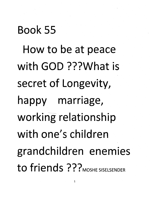Book 55 How to be at peace with GOD ???What is secret of Longevity, happy marriage, working relationship with one's children grandchildren enemies to friends ??? *MOSHE SISELSENDER*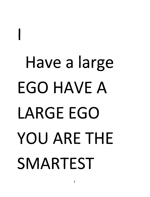### *Have a large EGO HAVE A LARGE EGO YOU ARE THE SMARTEST*

*I*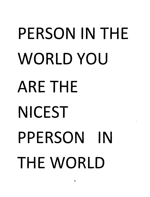## *PERSON IN THE WORLD YOU ARE THE NICEST PPERSON IN THE WORLD*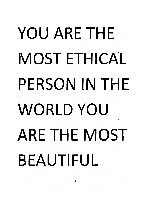## *YOU ARE THE MOST ETHICAL PERSON IN THE WORLD YOU ARE THE MOST BEAUTIFUL*

4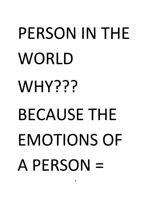# *PERSON IN THE WORLD WHY??? BECAUSE THE EMOTIONS OF A PERSON =*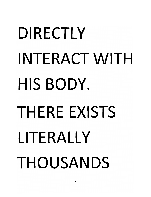# *DIRECTLY INTERACT WITH HIS BODY. THERE EXISTS LITERALLY THOUSANDS*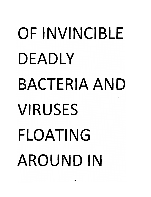## *OF INVINCIBLE DEADLY BACTERIA AND VIRUSES FLOATING AROUND IN*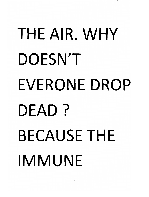## *THE AIR. WHY DOESNT EVERONE DROP DEAD? BECAUSE THE IMMUNE*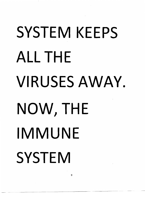## *SYSTEM KEEPS ALL THE VIRUSES AWAY NOW, THE IMMUNE SYSTEM*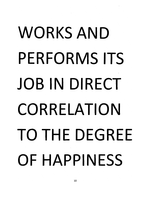## *WORKS AND PERFORMS ITS JOB IN DIRECT CORRELATION TO THE DEGREE OF HAPPINESS*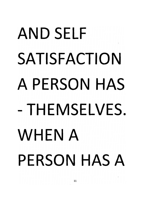## *AND SELF SATISFACTION A PERSON HAS -THEMSELVES. WHEN A PERSON HAS A*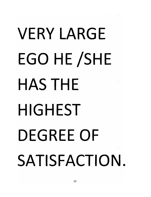## *VERY LARGE EGO HE/SHE HAS THE HIGHEST DEGREE OF SATISFACTION*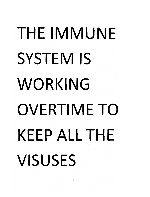## *THE IMMUNE SYSTEM IS WORKING OVERTIME TO KEEP ALL THE VISUSES*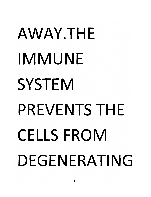## *AWAY.THE IMMUNE SYSTEM PREVENTS THE CELLS FROM DEGENERATING*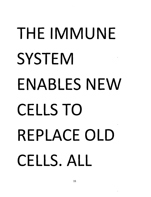## *THE IMMUNE SYSTEM ENABLES NEW CELLS TO REPLACE OLD CELLS. ALL*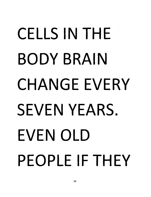## *CELLS IN THE BODY BRAIN CHANGE EVERY SEVEN YEARS. EVEN OLD PEOPLE IF THEY*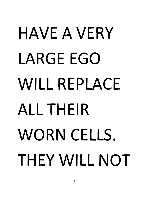## *HAVE A VERY LARGE EGO WILL REPLACE ALL THEIR WORN CELLS. THEY WILL NOT*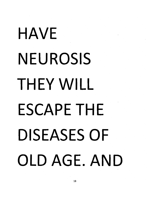## *HAVE NEUROSIS THEY WILL ESCAPE THE DISEASES OF OLD AGE. AND*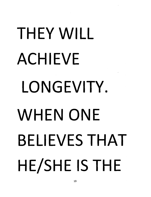# *THEY WILL ACHIEVE LONGEVITY. WHEN ONE BELIEVES THAT HE/SHE IS THE*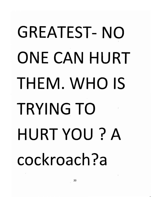## *GREATEST- NO ONE CAN HURT THEM. WHO IS TRYING TO HURT YOU? A cockroach?a*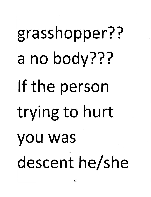## grasshopper?? a no body??? If the person trying to hurt you was descent he/she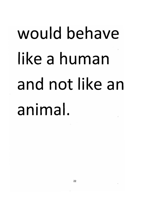#### *would behave ike a human and not like an animal.*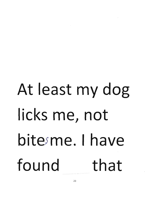#### At least my dog icks me, not bitesme. I have found that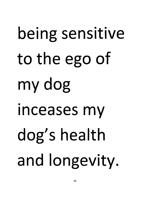## being sensitive to the ego of my dog inceases my dog's health and longevity.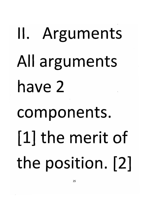## II. Arguments All arguments have 2 components. [1] the merit of the position. [21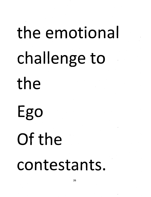# the emotional challenge to the Ego Of the contestants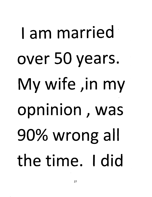## am married over 50 years. My wife ,in my opninion, was 90% wrong all the time. I did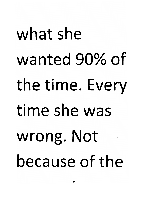what she wanted 90% of the time. Every time she was wrong. Not because of the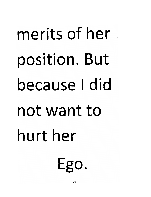# merits of her position. But because I did not want to hurt her Ego.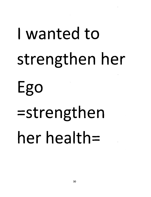## wanted to strengthen her Ego =strengthen her health=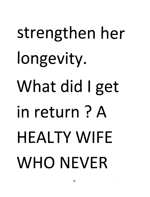## *strengthen her longevity. What did Iget in return ? A* HEALTY WIFE *WHO NEVER*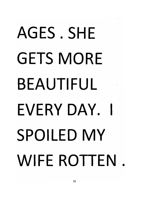## *AGES . SHE GETS MORE BEAUTIFUL EVERYDAY. I SPOILED MY WIFE ROTTEN*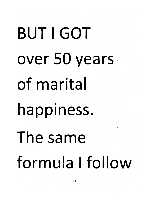BUT I GOT over 50 years of marita happiness. The same formula I follow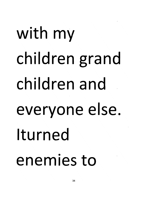## with my children grand children and everyone else. Iturned enemies to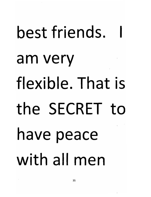## *best friends. am very flexible. That is the SECRET to have peace with all men*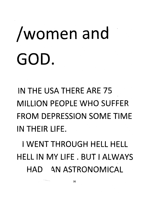#### /women and GOD.

*IN THE USA THERE ARE 75 MILLION PEOPLE WHO SUFFER FROM DEPRESSION SOME TIME IN THEIR LIFE.*

*I WENT THROUGH HELL HELL HELL IN MY LIFE . BUT I ALWAYS HAD \N ASTRONOMICAL*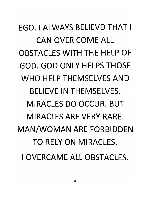*EGO. I ALWAYS BELIEVD THAT I CAN OVER COME ALL OBSTACLES WITH THE HELP OF GOD. GOD ONLY HELPS THOSE WHO HELP THEMSELVES AND BELIEVE IN THEMSELVES. MIRACLES DO OCCUR. BUT MIRACLES ARE VERY RARE. MAN/WOMAN ARE FORBIDDEN TO RELY ON MIRACLES. I OVERCAME ALL OBSTACLES.*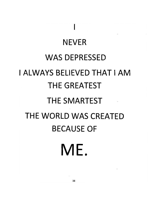#### *NEVER WAS DEPRESSED I ALWAYS BELIEVED THAT I AM THE GREATEST THE SMARTEST THE WORLD WAS CREATED BECAUSE OF ME.*